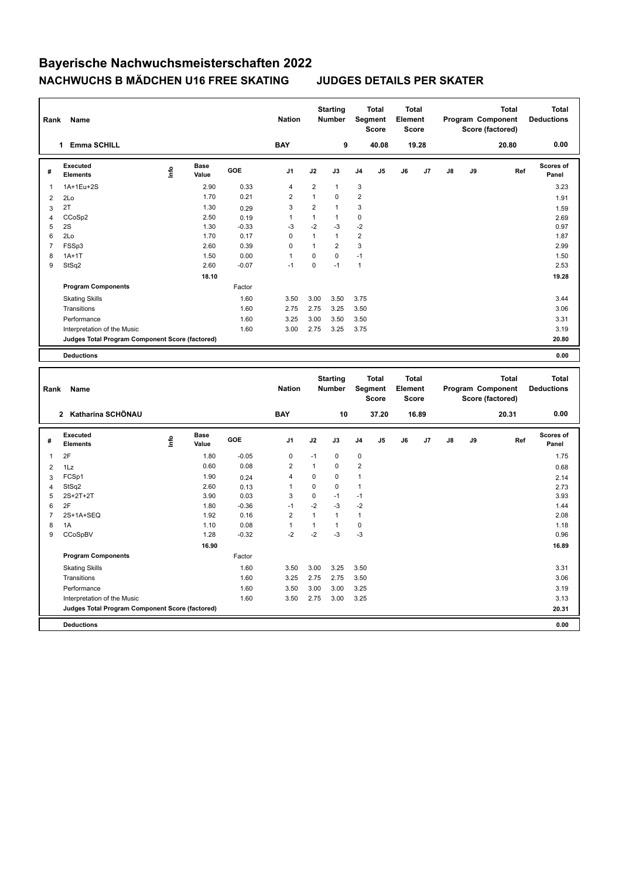| Rank                    | Name                                            |    |                      |         | <b>Nation</b>  |                | <b>Starting</b><br>Number |                | <b>Total</b><br>Segment<br><b>Score</b> | <b>Total</b><br>Element<br><b>Score</b> |       |    |    | <b>Total</b><br>Program Component<br>Score (factored) |     | <b>Total</b><br><b>Deductions</b> |
|-------------------------|-------------------------------------------------|----|----------------------|---------|----------------|----------------|---------------------------|----------------|-----------------------------------------|-----------------------------------------|-------|----|----|-------------------------------------------------------|-----|-----------------------------------|
|                         | 1 Emma SCHILL                                   |    |                      |         | <b>BAY</b>     |                | 9                         |                | 40.08                                   |                                         | 19.28 |    |    | 20.80                                                 |     | 0.00                              |
| #                       | <b>Executed</b><br><b>Elements</b>              | ۴ů | <b>Base</b><br>Value | GOE     | J1             | J2             | J3                        | J4             | J5                                      | J6                                      | J7    | J8 | J9 |                                                       | Ref | <b>Scores of</b><br>Panel         |
| 1                       | 1A+1Eu+2S                                       |    | 2.90                 | 0.33    | 4              | $\overline{2}$ | $\mathbf{1}$              | 3              |                                         |                                         |       |    |    |                                                       |     | 3.23                              |
| $\overline{\mathbf{c}}$ | 2Lo                                             |    | 1.70                 | 0.21    | $\overline{2}$ | $\mathbf{1}$   | $\mathbf 0$               | $\overline{2}$ |                                         |                                         |       |    |    |                                                       |     | 1.91                              |
| 3                       | 2T                                              |    | 1.30                 | 0.29    | 3              | $\overline{2}$ | $\mathbf{1}$              | 3              |                                         |                                         |       |    |    |                                                       |     | 1.59                              |
| $\overline{4}$          | CCoSp2                                          |    | 2.50                 | 0.19    | $\mathbf{1}$   | $\mathbf{1}$   | $\mathbf{1}$              | 0              |                                         |                                         |       |    |    |                                                       |     | 2.69                              |
| 5                       | $2\mathrm{S}$                                   |    | 1.30                 | $-0.33$ | $-3$           | $-2$           | $-3$                      | $-2$           |                                         |                                         |       |    |    |                                                       |     | 0.97                              |
| 6                       | 2Lo                                             |    | 1.70                 | 0.17    | 0              | $\mathbf{1}$   | $\mathbf{1}$              | $\overline{c}$ |                                         |                                         |       |    |    |                                                       |     | 1.87                              |
| $\overline{7}$          | FSSp3                                           |    | 2.60                 | 0.39    | $\pmb{0}$      | $\mathbf{1}$   | $\overline{2}$            | 3              |                                         |                                         |       |    |    |                                                       |     | 2.99                              |
| 8                       | $1A+1T$                                         |    | 1.50                 | 0.00    | $\mathbf{1}$   | 0              | $\mathbf 0$               | $-1$           |                                         |                                         |       |    |    |                                                       |     | 1.50                              |
| 9                       | StSq2                                           |    | 2.60                 | $-0.07$ | $-1$           | 0              | $-1$                      | $\mathbf{1}$   |                                         |                                         |       |    |    |                                                       |     | 2.53                              |
|                         |                                                 |    | 18.10                |         |                |                |                           |                |                                         |                                         |       |    |    |                                                       |     | 19.28                             |
|                         | <b>Program Components</b>                       |    |                      | Factor  |                |                |                           |                |                                         |                                         |       |    |    |                                                       |     |                                   |
|                         | <b>Skating Skills</b>                           |    |                      | 1.60    | 3.50           | 3.00           | 3.50                      | 3.75           |                                         |                                         |       |    |    |                                                       |     | 3.44                              |
|                         | Transitions                                     |    |                      | 1.60    | 2.75           | 2.75           | 3.25                      | 3.50           |                                         |                                         |       |    |    |                                                       |     | 3.06                              |
|                         | Performance                                     |    |                      | 1.60    | 3.25           | 3.00           | 3.50                      | 3.50           |                                         |                                         |       |    |    |                                                       |     | 3.31                              |
|                         | Interpretation of the Music                     |    |                      | 1.60    | 3.00           | 2.75           | 3.25                      | 3.75           |                                         |                                         |       |    |    |                                                       |     | 3.19                              |
|                         | Judges Total Program Component Score (factored) |    |                      |         |                |                |                           |                |                                         |                                         |       |    |    |                                                       |     | 20.80                             |
|                         |                                                 |    |                      |         |                |                |                           |                |                                         |                                         |       |    |    |                                                       |     |                                   |
|                         | <b>Deductions</b>                               |    |                      |         |                |                |                           |                |                                         |                                         |       |    |    |                                                       |     | 0.00                              |
|                         |                                                 |    |                      |         |                |                |                           |                |                                         |                                         |       |    |    |                                                       |     |                                   |
| Rank                    | Name                                            |    |                      |         | <b>Nation</b>  |                | <b>Starting</b><br>Number |                | Total<br>Segment<br><b>Score</b>        | <b>Total</b><br>Element<br><b>Score</b> |       |    |    | <b>Total</b><br>Program Component<br>Score (factored) |     | <b>Total</b><br><b>Deductions</b> |
|                         | 2 Katharina SCHÖNAU                             |    |                      |         | <b>BAY</b>     |                | 10                        |                | 37.20                                   |                                         | 16.89 |    |    | 20.31                                                 |     | 0.00                              |
| #                       | <b>Executed</b><br><b>Elements</b>              | ۴  | <b>Base</b><br>Value | GOE     | J <sub>1</sub> | J2             | J3                        | J4             | J <sub>5</sub>                          | J6                                      | J7    | J8 | J9 |                                                       | Ref | Scores of<br>Panel                |
| $\mathbf{1}$            | 2F                                              |    | 1.80                 | $-0.05$ | 0              | $-1$           | $\mathbf 0$               | 0              |                                         |                                         |       |    |    |                                                       |     | 1.75                              |
| $\overline{2}$          | 1Lz                                             |    | 0.60                 | 0.08    | $\overline{2}$ | $\mathbf{1}$   | 0                         | $\overline{2}$ |                                         |                                         |       |    |    |                                                       |     | 0.68                              |
| 3                       | FCSp1                                           |    | 1.90                 | 0.24    | $\overline{4}$ | $\pmb{0}$      | $\mathbf 0$               | 1              |                                         |                                         |       |    |    |                                                       |     | 2.14                              |
| $\overline{4}$          | StSq2                                           |    | 2.60                 | 0.13    | $\mathbf{1}$   | 0              | $\mathbf 0$               | $\mathbf{1}$   |                                         |                                         |       |    |    |                                                       |     | 2.73                              |
| 5                       | 2S+2T+2T                                        |    | 3.90                 | 0.03    | 3              | 0              | $-1$                      | $-1$           |                                         |                                         |       |    |    |                                                       |     | 3.93                              |
| 6                       | 2F                                              |    | 1.80                 | $-0.36$ | $-1$           | $-2$           | $-3$                      | $-2$           |                                         |                                         |       |    |    |                                                       |     | 1.44                              |
| $\overline{7}$          | 2S+1A+SEQ                                       |    | 1.92                 | 0.16    | $\overline{2}$ | $\mathbf{1}$   | $\mathbf{1}$              | $\mathbf{1}$   |                                         |                                         |       |    |    |                                                       |     | 2.08                              |
| 8                       | 1A                                              |    | 1.10                 | 0.08    | $\mathbf{1}$   | $\mathbf{1}$   | $\mathbf{1}$              | $\mathbf 0$    |                                         |                                         |       |    |    |                                                       |     | 1.18                              |
| 9                       | CCoSpBV                                         |    | 1.28                 | $-0.32$ | $-2$           | $-2$           | $-3$                      | $-3$           |                                         |                                         |       |    |    |                                                       |     | 0.96                              |
|                         |                                                 |    | 16.90                |         |                |                |                           |                |                                         |                                         |       |    |    |                                                       |     | 16.89                             |
|                         | <b>Program Components</b>                       |    |                      | Factor  |                |                |                           |                |                                         |                                         |       |    |    |                                                       |     |                                   |
|                         | <b>Skating Skills</b>                           |    |                      | 1.60    | 3.50           | 3.00           | 3.25                      | 3.50           |                                         |                                         |       |    |    |                                                       |     | 3.31                              |
|                         | Transitions                                     |    |                      | 1.60    | 3.25           | 2.75           | 2.75                      | 3.50           |                                         |                                         |       |    |    |                                                       |     | 3.06                              |
|                         | Performance                                     |    |                      | 1.60    | 3.50           | 3.00           | 3.00                      | 3.25           |                                         |                                         |       |    |    |                                                       |     | 3.19                              |
|                         | Interpretation of the Music                     |    |                      | 1.60    | 3.50           | 2.75           | 3.00                      | 3.25           |                                         |                                         |       |    |    |                                                       |     | 3.13                              |
|                         | Judges Total Program Component Score (factored) |    |                      |         |                |                |                           |                |                                         |                                         |       |    |    |                                                       |     | 20.31                             |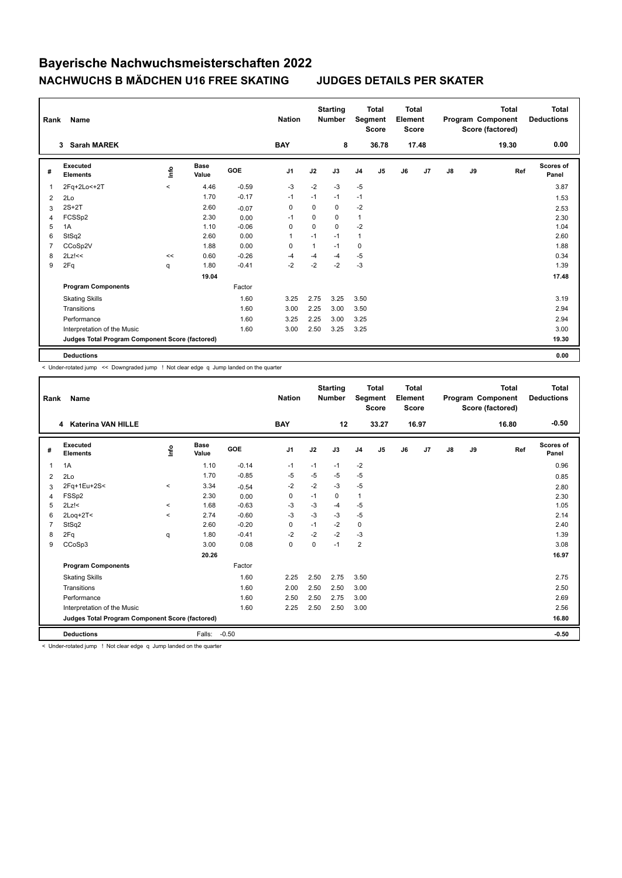| Rank           | Name                                            |         |                      |            | <b>Nation</b>  |          | <b>Starting</b><br><b>Number</b> |                | <b>Total</b><br>Segment<br><b>Score</b> | <b>Total</b><br>Element<br><b>Score</b> |                |    |    | <b>Total</b><br>Program Component<br>Score (factored) | Total<br><b>Deductions</b> |
|----------------|-------------------------------------------------|---------|----------------------|------------|----------------|----------|----------------------------------|----------------|-----------------------------------------|-----------------------------------------|----------------|----|----|-------------------------------------------------------|----------------------------|
|                | <b>Sarah MAREK</b><br>3                         |         |                      |            | <b>BAY</b>     |          | 8                                |                | 36.78                                   |                                         | 17.48          |    |    | 19.30                                                 | 0.00                       |
| #              | Executed<br><b>Elements</b>                     | lnfo    | <b>Base</b><br>Value | <b>GOE</b> | J <sub>1</sub> | J2       | J3                               | J <sub>4</sub> | J <sub>5</sub>                          | J6                                      | J <sub>7</sub> | J8 | J9 | Ref                                                   | Scores of<br>Panel         |
| $\overline{1}$ | 2Fq+2Lo<+2T                                     | $\prec$ | 4.46                 | $-0.59$    | -3             | $-2$     | $-3$                             | $-5$           |                                         |                                         |                |    |    |                                                       | 3.87                       |
| 2              | 2Lo                                             |         | 1.70                 | $-0.17$    | $-1$           | $-1$     | $-1$                             | $-1$           |                                         |                                         |                |    |    |                                                       | 1.53                       |
| 3              | $2S+2T$                                         |         | 2.60                 | $-0.07$    | 0              | 0        | 0                                | $-2$           |                                         |                                         |                |    |    |                                                       | 2.53                       |
| 4              | FCSSp2                                          |         | 2.30                 | 0.00       | $-1$           | 0        | 0                                | $\mathbf{1}$   |                                         |                                         |                |    |    |                                                       | 2.30                       |
| 5              | 1A                                              |         | 1.10                 | $-0.06$    | 0              | $\Omega$ | $\Omega$                         | $-2$           |                                         |                                         |                |    |    |                                                       | 1.04                       |
| 6              | StSq2                                           |         | 2.60                 | 0.00       | $\overline{1}$ | $-1$     | $-1$                             | $\mathbf{1}$   |                                         |                                         |                |    |    |                                                       | 2.60                       |
| $\overline{7}$ | CCoSp2V                                         |         | 1.88                 | 0.00       | 0              | 1        | $-1$                             | $\mathbf 0$    |                                         |                                         |                |    |    |                                                       | 1.88                       |
| 8              | $2Lz$ !<<                                       | <<      | 0.60                 | $-0.26$    | -4             | $-4$     | $-4$                             | $-5$           |                                         |                                         |                |    |    |                                                       | 0.34                       |
| 9              | 2Fq                                             | q       | 1.80                 | $-0.41$    | $-2$           | $-2$     | $-2$                             | $-3$           |                                         |                                         |                |    |    |                                                       | 1.39                       |
|                |                                                 |         | 19.04                |            |                |          |                                  |                |                                         |                                         |                |    |    |                                                       | 17.48                      |
|                | <b>Program Components</b>                       |         |                      | Factor     |                |          |                                  |                |                                         |                                         |                |    |    |                                                       |                            |
|                | <b>Skating Skills</b>                           |         |                      | 1.60       | 3.25           | 2.75     | 3.25                             | 3.50           |                                         |                                         |                |    |    |                                                       | 3.19                       |
|                | Transitions                                     |         |                      | 1.60       | 3.00           | 2.25     | 3.00                             | 3.50           |                                         |                                         |                |    |    |                                                       | 2.94                       |
|                | Performance                                     |         |                      | 1.60       | 3.25           | 2.25     | 3.00                             | 3.25           |                                         |                                         |                |    |    |                                                       | 2.94                       |
|                | Interpretation of the Music                     |         |                      | 1.60       | 3.00           | 2.50     | 3.25                             | 3.25           |                                         |                                         |                |    |    |                                                       | 3.00                       |
|                | Judges Total Program Component Score (factored) |         |                      |            |                |          |                                  |                |                                         |                                         |                |    |    |                                                       | 19.30                      |
|                | <b>Deductions</b>                               |         |                      |            |                |          |                                  |                |                                         |                                         |                |    |    |                                                       | 0.00                       |

< Under-rotated jump << Downgraded jump ! Not clear edge q Jump landed on the quarter

| Rank         | Name                                            |          |                      |         | <b>Nation</b>  |      | <b>Starting</b><br><b>Number</b> |                | <b>Total</b><br>Segment<br><b>Score</b> | Total<br>Element<br><b>Score</b> |       |               |    | <b>Total</b><br>Program Component<br>Score (factored) | <b>Total</b><br><b>Deductions</b> |
|--------------|-------------------------------------------------|----------|----------------------|---------|----------------|------|----------------------------------|----------------|-----------------------------------------|----------------------------------|-------|---------------|----|-------------------------------------------------------|-----------------------------------|
|              | <b>Katerina VAN HILLE</b><br>4                  |          |                      |         | <b>BAY</b>     |      | 12                               |                | 33.27                                   |                                  | 16.97 |               |    | 16.80                                                 | $-0.50$                           |
| #            | Executed<br><b>Elements</b>                     | lnfo     | <b>Base</b><br>Value | GOE     | J <sub>1</sub> | J2   | J3                               | J <sub>4</sub> | J5                                      | J6                               | J7    | $\mathsf{J}8$ | J9 | Ref                                                   | <b>Scores of</b><br>Panel         |
| $\mathbf{1}$ | 1A                                              |          | 1.10                 | $-0.14$ | $-1$           | $-1$ | $-1$                             | $-2$           |                                         |                                  |       |               |    |                                                       | 0.96                              |
| 2            | 2Lo                                             |          | 1.70                 | $-0.85$ | -5             | $-5$ | $-5$                             | -5             |                                         |                                  |       |               |    |                                                       | 0.85                              |
| 3            | 2Fq+1Eu+2S<                                     | $\prec$  | 3.34                 | $-0.54$ | $-2$           | $-2$ | $-3$                             | $-5$           |                                         |                                  |       |               |    |                                                       | 2.80                              |
| 4            | FSSp2                                           |          | 2.30                 | 0.00    | 0              | $-1$ | $\Omega$                         | $\mathbf{1}$   |                                         |                                  |       |               |    |                                                       | 2.30                              |
| 5            | $2Lz$ !<                                        | $\hat{}$ | 1.68                 | $-0.63$ | -3             | $-3$ | $-4$                             | $-5$           |                                         |                                  |       |               |    |                                                       | 1.05                              |
| 6            | $2$ Loq $+2$ T<                                 | $\prec$  | 2.74                 | $-0.60$ | $-3$           | $-3$ | $-3$                             | -5             |                                         |                                  |       |               |    |                                                       | 2.14                              |
| 7            | StSq2                                           |          | 2.60                 | $-0.20$ | $\mathbf 0$    | $-1$ | $-2$                             | $\pmb{0}$      |                                         |                                  |       |               |    |                                                       | 2.40                              |
| 8            | 2Fq                                             | q        | 1.80                 | $-0.41$ | $-2$           | $-2$ | $-2$                             | $-3$           |                                         |                                  |       |               |    |                                                       | 1.39                              |
| 9            | CCoSp3                                          |          | 3.00                 | 0.08    | $\mathbf 0$    | 0    | $-1$                             | $\overline{2}$ |                                         |                                  |       |               |    |                                                       | 3.08                              |
|              |                                                 |          | 20.26                |         |                |      |                                  |                |                                         |                                  |       |               |    |                                                       | 16.97                             |
|              | <b>Program Components</b>                       |          |                      | Factor  |                |      |                                  |                |                                         |                                  |       |               |    |                                                       |                                   |
|              | <b>Skating Skills</b>                           |          |                      | 1.60    | 2.25           | 2.50 | 2.75                             | 3.50           |                                         |                                  |       |               |    |                                                       | 2.75                              |
|              | Transitions                                     |          |                      | 1.60    | 2.00           | 2.50 | 2.50                             | 3.00           |                                         |                                  |       |               |    |                                                       | 2.50                              |
|              | Performance                                     |          |                      | 1.60    | 2.50           | 2.50 | 2.75                             | 3.00           |                                         |                                  |       |               |    |                                                       | 2.69                              |
|              | Interpretation of the Music                     |          |                      | 1.60    | 2.25           | 2.50 | 2.50                             | 3.00           |                                         |                                  |       |               |    |                                                       | 2.56                              |
|              | Judges Total Program Component Score (factored) |          |                      |         |                |      |                                  |                |                                         |                                  |       |               |    |                                                       | 16.80                             |
|              | <b>Deductions</b>                               |          | Falls:               | $-0.50$ |                |      |                                  |                |                                         |                                  |       |               |    |                                                       | $-0.50$                           |

< Under-rotated jump ! Not clear edge q Jump landed on the quarter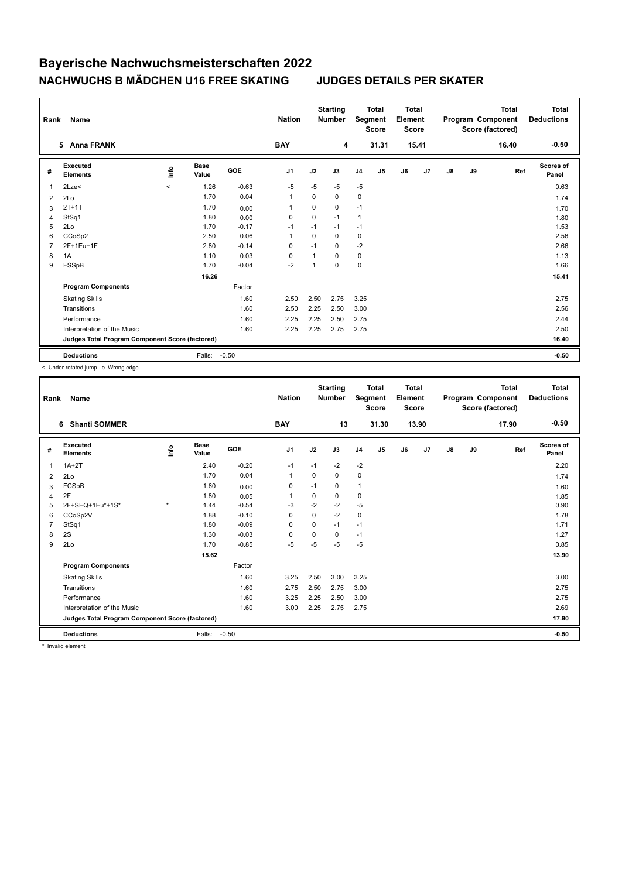| Rank           | <b>Name</b>                                     |          |                      |            | <b>Nation</b>  |          | <b>Starting</b><br><b>Number</b> | Segment        | <b>Total</b><br><b>Score</b> | <b>Total</b><br>Element<br><b>Score</b> |       |    |    | <b>Total</b><br>Program Component<br>Score (factored) | Total<br><b>Deductions</b> |
|----------------|-------------------------------------------------|----------|----------------------|------------|----------------|----------|----------------------------------|----------------|------------------------------|-----------------------------------------|-------|----|----|-------------------------------------------------------|----------------------------|
|                | <b>Anna FRANK</b><br>5                          |          |                      |            | <b>BAY</b>     |          | 4                                |                | 31.31                        |                                         | 15.41 |    |    | 16.40                                                 | $-0.50$                    |
| #              | Executed<br><b>Elements</b>                     | lnfo     | <b>Base</b><br>Value | <b>GOE</b> | J <sub>1</sub> | J2       | J3                               | J <sub>4</sub> | J5                           | J6                                      | J7    | J8 | J9 | Ref                                                   | Scores of<br>Panel         |
| $\overline{1}$ | 2Lze<                                           | $\hat{}$ | 1.26                 | $-0.63$    | $-5$           | $-5$     | $-5$                             | $-5$           |                              |                                         |       |    |    |                                                       | 0.63                       |
| 2              | 2Lo                                             |          | 1.70                 | 0.04       | 1              | $\Omega$ | 0                                | 0              |                              |                                         |       |    |    |                                                       | 1.74                       |
| 3              | $2T+1T$                                         |          | 1.70                 | 0.00       | 1              | $\Omega$ | $\Omega$                         | $-1$           |                              |                                         |       |    |    |                                                       | 1.70                       |
| 4              | StSq1                                           |          | 1.80                 | 0.00       | 0              | 0        | $-1$                             | $\overline{1}$ |                              |                                         |       |    |    |                                                       | 1.80                       |
| 5              | 2Lo                                             |          | 1.70                 | $-0.17$    | $-1$           | $-1$     | $-1$                             | $-1$           |                              |                                         |       |    |    |                                                       | 1.53                       |
| 6              | CCoSp2                                          |          | 2.50                 | 0.06       | 1              | $\Omega$ | $\Omega$                         | $\mathbf 0$    |                              |                                         |       |    |    |                                                       | 2.56                       |
| $\overline{7}$ | 2F+1Eu+1F                                       |          | 2.80                 | $-0.14$    | 0              | $-1$     | $\Omega$                         | $-2$           |                              |                                         |       |    |    |                                                       | 2.66                       |
| 8              | 1A                                              |          | 1.10                 | 0.03       | 0              |          | $\Omega$                         | 0              |                              |                                         |       |    |    |                                                       | 1.13                       |
| 9              | FSSpB                                           |          | 1.70                 | $-0.04$    | $-2$           |          | $\Omega$                         | $\pmb{0}$      |                              |                                         |       |    |    |                                                       | 1.66                       |
|                |                                                 |          | 16.26                |            |                |          |                                  |                |                              |                                         |       |    |    |                                                       | 15.41                      |
|                | <b>Program Components</b>                       |          |                      | Factor     |                |          |                                  |                |                              |                                         |       |    |    |                                                       |                            |
|                | <b>Skating Skills</b>                           |          |                      | 1.60       | 2.50           | 2.50     | 2.75                             | 3.25           |                              |                                         |       |    |    |                                                       | 2.75                       |
|                | Transitions                                     |          |                      | 1.60       | 2.50           | 2.25     | 2.50                             | 3.00           |                              |                                         |       |    |    |                                                       | 2.56                       |
|                | Performance                                     |          |                      | 1.60       | 2.25           | 2.25     | 2.50                             | 2.75           |                              |                                         |       |    |    |                                                       | 2.44                       |
|                | Interpretation of the Music                     |          |                      | 1.60       | 2.25           | 2.25     | 2.75                             | 2.75           |                              |                                         |       |    |    |                                                       | 2.50                       |
|                | Judges Total Program Component Score (factored) |          |                      |            |                |          |                                  |                |                              |                                         |       |    |    |                                                       | 16.40                      |
|                | <b>Deductions</b>                               |          | Falls:               | $-0.50$    |                |          |                                  |                |                              |                                         |       |    |    |                                                       | $-0.50$                    |

< Under-rotated jump e Wrong edge

| Rank           | Name                                            |         |                      |         | <b>Nation</b> |          | <b>Starting</b><br><b>Number</b> |                | <b>Total</b><br>Segment<br><b>Score</b> | <b>Total</b><br>Element<br>Score |       |               |    | <b>Total</b><br>Program Component<br>Score (factored) | <b>Total</b><br><b>Deductions</b> |
|----------------|-------------------------------------------------|---------|----------------------|---------|---------------|----------|----------------------------------|----------------|-----------------------------------------|----------------------------------|-------|---------------|----|-------------------------------------------------------|-----------------------------------|
|                | <b>Shanti SOMMER</b><br>6                       |         |                      |         | <b>BAY</b>    |          | 13                               |                | 31.30                                   |                                  | 13.90 |               |    | 17.90                                                 | $-0.50$                           |
| #              | Executed<br><b>Elements</b>                     | lnfo    | <b>Base</b><br>Value | GOE     | J1            | J2       | J3                               | J <sub>4</sub> | J5                                      | J6                               | J7    | $\mathsf{J}8$ | J9 | Ref                                                   | Scores of<br>Panel                |
| $\mathbf{1}$   | $1A+2T$                                         |         | 2.40                 | $-0.20$ | $-1$          | $-1$     | $-2$                             | $-2$           |                                         |                                  |       |               |    |                                                       | 2.20                              |
| 2              | 2Lo                                             |         | 1.70                 | 0.04    | 1             | $\Omega$ | $\Omega$                         | 0              |                                         |                                  |       |               |    |                                                       | 1.74                              |
| 3              | FCSpB                                           |         | 1.60                 | 0.00    | 0             | $-1$     | 0                                | $\mathbf{1}$   |                                         |                                  |       |               |    |                                                       | 1.60                              |
| 4              | 2F                                              |         | 1.80                 | 0.05    | 1             | 0        | 0                                | $\mathbf 0$    |                                         |                                  |       |               |    |                                                       | 1.85                              |
| 5              | 2F+SEQ+1Eu*+1S*                                 | $\star$ | 1.44                 | $-0.54$ | -3            | $-2$     | $-2$                             | $-5$           |                                         |                                  |       |               |    |                                                       | 0.90                              |
| 6              | CCoSp2V                                         |         | 1.88                 | $-0.10$ | 0             | $\Omega$ | $-2$                             | 0              |                                         |                                  |       |               |    |                                                       | 1.78                              |
| $\overline{7}$ | StSq1                                           |         | 1.80                 | $-0.09$ | $\Omega$      | 0        | $-1$                             | $-1$           |                                         |                                  |       |               |    |                                                       | 1.71                              |
| 8              | 2S                                              |         | 1.30                 | $-0.03$ | $\mathbf 0$   | $\Omega$ | $\Omega$                         | $-1$           |                                         |                                  |       |               |    |                                                       | 1.27                              |
| 9              | 2Lo                                             |         | 1.70                 | $-0.85$ | $-5$          | $-5$     | $-5$                             | $-5$           |                                         |                                  |       |               |    |                                                       | 0.85                              |
|                |                                                 |         | 15.62                |         |               |          |                                  |                |                                         |                                  |       |               |    |                                                       | 13.90                             |
|                | <b>Program Components</b>                       |         |                      | Factor  |               |          |                                  |                |                                         |                                  |       |               |    |                                                       |                                   |
|                | <b>Skating Skills</b>                           |         |                      | 1.60    | 3.25          | 2.50     | 3.00                             | 3.25           |                                         |                                  |       |               |    |                                                       | 3.00                              |
|                | Transitions                                     |         |                      | 1.60    | 2.75          | 2.50     | 2.75                             | 3.00           |                                         |                                  |       |               |    |                                                       | 2.75                              |
|                | Performance                                     |         |                      | 1.60    | 3.25          | 2.25     | 2.50                             | 3.00           |                                         |                                  |       |               |    |                                                       | 2.75                              |
|                | Interpretation of the Music                     |         |                      | 1.60    | 3.00          | 2.25     | 2.75                             | 2.75           |                                         |                                  |       |               |    |                                                       | 2.69                              |
|                | Judges Total Program Component Score (factored) |         |                      |         |               |          |                                  |                |                                         |                                  |       |               |    |                                                       | 17.90                             |
|                | <b>Deductions</b>                               |         | Falls:               | $-0.50$ |               |          |                                  |                |                                         |                                  |       |               |    |                                                       | $-0.50$                           |

\* Invalid element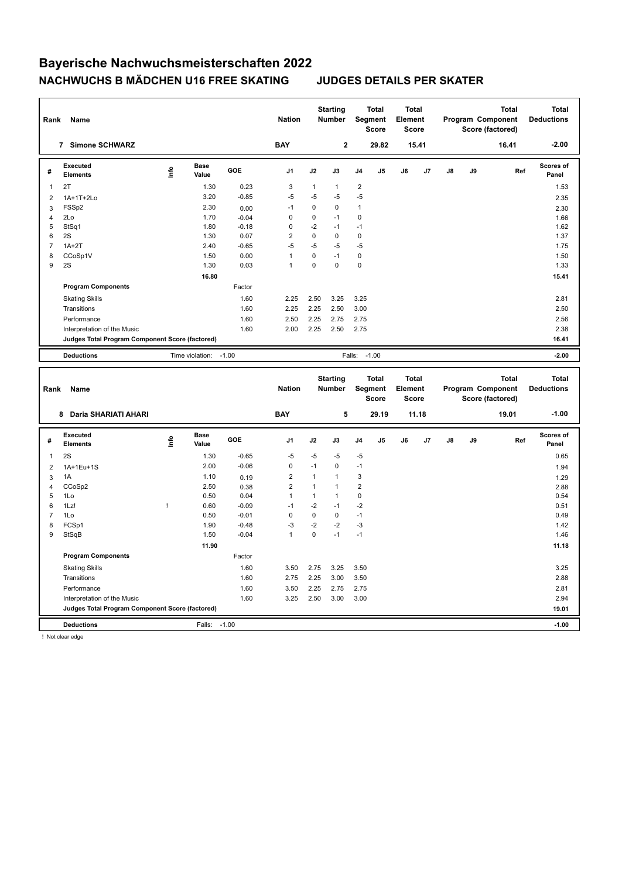| Rank                | Name                                                                 |              |                      |                    | <b>Nation</b>                           |              | <b>Starting</b><br>Number |                               | <b>Total</b><br>Segment<br><b>Score</b>        | <b>Total</b><br>Element<br><b>Score</b> |       |    |    | <b>Total</b><br>Program Component<br>Score (factored) |     | <b>Total</b><br><b>Deductions</b> |
|---------------------|----------------------------------------------------------------------|--------------|----------------------|--------------------|-----------------------------------------|--------------|---------------------------|-------------------------------|------------------------------------------------|-----------------------------------------|-------|----|----|-------------------------------------------------------|-----|-----------------------------------|
|                     | 7 Simone SCHWARZ                                                     |              |                      |                    | <b>BAY</b>                              |              | $\mathbf 2$               |                               | 29.82                                          |                                         | 15.41 |    |    | 16.41                                                 |     | $-2.00$                           |
| #                   | Executed<br>Elements                                                 | lnfo         | <b>Base</b><br>Value | GOE                | J <sub>1</sub>                          | J2           | J3                        | J4                            | J5                                             | J6                                      | J7    | J8 | J9 |                                                       | Ref | Scores of<br>Panel                |
| 1                   | 2T                                                                   |              | 1.30                 | 0.23               | 3                                       | $\mathbf{1}$ | $\mathbf{1}$              | $\boldsymbol{2}$              |                                                |                                         |       |    |    |                                                       |     | 1.53                              |
| $\overline{2}$      | 1A+1T+2Lo                                                            |              | 3.20                 | $-0.85$            | $-5$                                    | $-5$         | -5                        | $-5$                          |                                                |                                         |       |    |    |                                                       |     | 2.35                              |
| 3                   | FSS <sub>p2</sub>                                                    |              | 2.30                 | 0.00               | $-1$                                    | 0            | 0                         | 1                             |                                                |                                         |       |    |    |                                                       |     | 2.30                              |
| 4                   | 2Lo                                                                  |              | 1.70                 | $-0.04$            | $\mathbf 0$                             | 0            | $-1$                      | 0                             |                                                |                                         |       |    |    |                                                       |     | 1.66                              |
| 5                   | StSq1                                                                |              | 1.80                 | $-0.18$            | $\mathbf 0$                             | $-2$         | -1                        | $-1$                          |                                                |                                         |       |    |    |                                                       |     | 1.62                              |
| 6                   | 2S                                                                   |              | 1.30                 | 0.07               | $\overline{2}$                          | $\mathbf 0$  | $\mathbf 0$               | $\mathbf 0$                   |                                                |                                         |       |    |    |                                                       |     | 1.37                              |
| $\overline{7}$      | $1A+2T$                                                              |              | 2.40                 | $-0.65$            | $-5$                                    | $-5$         | $-5$                      | $-5$                          |                                                |                                         |       |    |    |                                                       |     | 1.75                              |
| 8                   | CCoSp1V                                                              |              | 1.50                 | 0.00               | $\mathbf{1}$                            | $\mathbf 0$  | $-1$                      | 0                             |                                                |                                         |       |    |    |                                                       |     | 1.50                              |
| 9                   | 2S                                                                   |              | 1.30                 | 0.03               | $\mathbf{1}$                            | 0            | $\mathbf 0$               | $\mathbf 0$                   |                                                |                                         |       |    |    |                                                       |     | 1.33                              |
|                     |                                                                      |              | 16.80                |                    |                                         |              |                           |                               |                                                |                                         |       |    |    |                                                       |     | 15.41                             |
|                     | <b>Program Components</b>                                            |              |                      | Factor             |                                         |              |                           |                               |                                                |                                         |       |    |    |                                                       |     |                                   |
|                     | <b>Skating Skills</b>                                                |              |                      | 1.60               | 2.25                                    | 2.50         | 3.25                      | 3.25                          |                                                |                                         |       |    |    |                                                       |     | 2.81                              |
|                     | Transitions                                                          |              |                      | 1.60               | 2.25                                    | 2.25         | 2.50                      | 3.00                          |                                                |                                         |       |    |    |                                                       |     | 2.50                              |
|                     | Performance                                                          |              |                      | 1.60               | 2.50                                    | 2.25         | 2.75                      | 2.75                          |                                                |                                         |       |    |    |                                                       |     | 2.56                              |
|                     | Interpretation of the Music                                          |              |                      | 1.60               | 2.00                                    | 2.25         | 2.50                      | 2.75                          |                                                |                                         |       |    |    |                                                       |     | 2.38                              |
|                     | Judges Total Program Component Score (factored)                      |              |                      |                    |                                         |              |                           |                               |                                                |                                         |       |    |    |                                                       |     | 16.41                             |
|                     |                                                                      |              |                      |                    |                                         |              |                           |                               |                                                |                                         |       |    |    |                                                       |     |                                   |
|                     | <b>Deductions</b>                                                    |              | Time violation:      | $-1.00$            |                                         |              |                           | Falls:                        | $-1.00$                                        |                                         |       |    |    |                                                       |     | $-2.00$                           |
|                     |                                                                      |              |                      |                    |                                         |              |                           |                               |                                                |                                         |       |    |    |                                                       |     |                                   |
| Rank                | Name                                                                 |              |                      |                    | <b>Nation</b>                           |              | <b>Starting</b><br>Number |                               | <b>Total</b><br><b>Segment</b><br><b>Score</b> | <b>Total</b><br>Element<br><b>Score</b> |       |    |    | <b>Total</b><br>Program Component<br>Score (factored) |     | <b>Total</b><br><b>Deductions</b> |
|                     | 8 Daria SHARIATI AHARI                                               |              |                      |                    | <b>BAY</b>                              |              | 5                         |                               | 29.19                                          |                                         | 11.18 |    |    | 19.01                                                 |     | $-1.00$                           |
| #                   | <b>Executed</b><br><b>Elements</b>                                   | lnfo         | <b>Base</b><br>Value | GOE                | J1                                      | J2           | J3                        | J4                            | J5                                             | J6                                      | J7    | J8 | J9 |                                                       | Ref | Scores of<br>Panel                |
|                     |                                                                      |              |                      |                    |                                         |              |                           |                               |                                                |                                         |       |    |    |                                                       |     |                                   |
| 1                   | 2S                                                                   |              | 1.30<br>2.00         | $-0.65$<br>$-0.06$ | $-5$<br>0                               | $-5$<br>$-1$ | $-5$<br>$\mathbf 0$       | $-5$<br>$-1$                  |                                                |                                         |       |    |    |                                                       |     | 0.65                              |
| $\overline{c}$      | 1A+1Eu+1S                                                            |              | 1.10                 |                    | $\overline{2}$                          | $\mathbf{1}$ | $\mathbf{1}$              | 3                             |                                                |                                         |       |    |    |                                                       |     | 1.94                              |
| 3                   | 1A                                                                   |              |                      | 0.19               |                                         | $\mathbf{1}$ | $\mathbf{1}$              |                               |                                                |                                         |       |    |    |                                                       |     | 1.29                              |
| $\overline{4}$<br>5 | CCoSp2<br>1Lo                                                        |              | 2.50<br>0.50         | 0.38<br>0.04       | $\overline{\mathbf{c}}$<br>$\mathbf{1}$ | $\mathbf{1}$ | $\mathbf{1}$              | $\overline{c}$<br>$\mathbf 0$ |                                                |                                         |       |    |    |                                                       |     | 2.88<br>0.54                      |
| 6                   | 1Lz!                                                                 | $\mathbf{I}$ | 0.60                 | $-0.09$            | $-1$                                    | $-2$         | $-1$                      | $-2$                          |                                                |                                         |       |    |    |                                                       |     | 0.51                              |
| $\overline{7}$      | 1Lo                                                                  |              | 0.50                 | $-0.01$            | $\mathbf 0$                             | $\mathbf 0$  | $\mathbf 0$               | $-1$                          |                                                |                                         |       |    |    |                                                       |     | 0.49                              |
| 8                   | FCSp1                                                                |              | 1.90                 | $-0.48$            | $-3$                                    | $-2$         | $-2$                      | $-3$                          |                                                |                                         |       |    |    |                                                       |     | 1.42                              |
| 9                   | StSqB                                                                |              | 1.50                 | $-0.04$            | $\mathbf{1}$                            | $\mathbf 0$  | $-1$                      | $-1$                          |                                                |                                         |       |    |    |                                                       |     | 1.46                              |
|                     |                                                                      |              | 11.90                |                    |                                         |              |                           |                               |                                                |                                         |       |    |    |                                                       |     | 11.18                             |
|                     | <b>Program Components</b>                                            |              |                      | Factor             |                                         |              |                           |                               |                                                |                                         |       |    |    |                                                       |     |                                   |
|                     |                                                                      |              |                      |                    |                                         |              |                           |                               |                                                |                                         |       |    |    |                                                       |     |                                   |
|                     | <b>Skating Skills</b>                                                |              |                      | 1.60               | 3.50                                    | 2.75         | 3.25                      | 3.50                          |                                                |                                         |       |    |    |                                                       |     | 3.25                              |
|                     | Transitions                                                          |              |                      | 1.60               | 2.75                                    | 2.25         | 3.00                      | 3.50                          |                                                |                                         |       |    |    |                                                       |     | 2.88                              |
|                     | Performance                                                          |              |                      | 1.60               | 3.50                                    | 2.25         | 2.75                      | 2.75                          |                                                |                                         |       |    |    |                                                       |     | 2.81                              |
|                     | Interpretation of the Music                                          |              |                      | 1.60               | 3.25                                    | 2.50         | 3.00                      | 3.00                          |                                                |                                         |       |    |    |                                                       |     | 2.94<br>19.01                     |
|                     | Judges Total Program Component Score (factored)<br><b>Deductions</b> |              | Falls:               | $-1.00$            |                                         |              |                           |                               |                                                |                                         |       |    |    |                                                       |     | $-1.00$                           |

! Not clear edge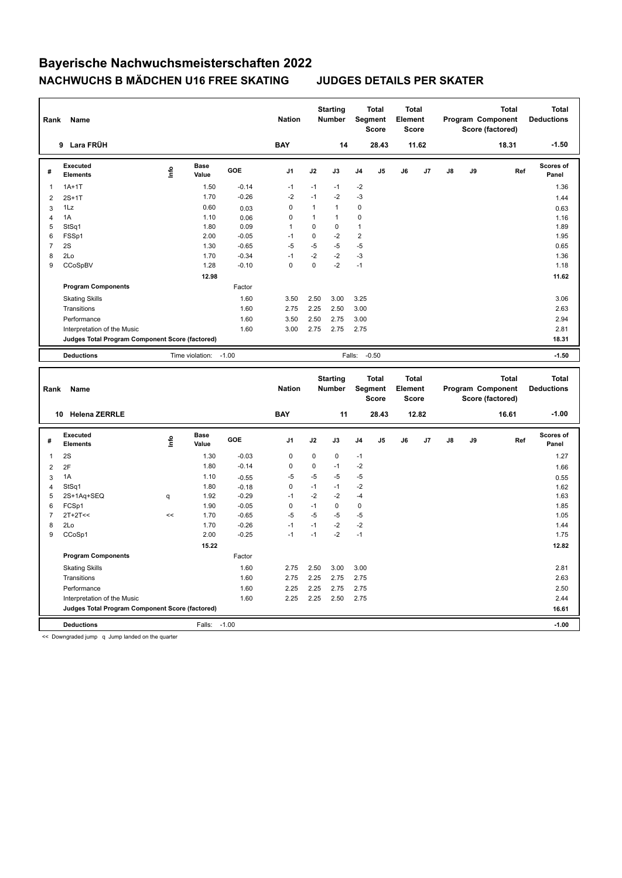| Rank                | Name                                            |      |                      |                    | <b>Nation</b>    |              | <b>Starting</b><br>Number |                | <b>Total</b><br><b>Segment</b><br><b>Score</b> | <b>Total</b><br>Element<br><b>Score</b> |       |               |    | <b>Total</b><br>Program Component<br>Score (factored) |     | <b>Total</b><br><b>Deductions</b> |
|---------------------|-------------------------------------------------|------|----------------------|--------------------|------------------|--------------|---------------------------|----------------|------------------------------------------------|-----------------------------------------|-------|---------------|----|-------------------------------------------------------|-----|-----------------------------------|
|                     | 9 Lara FRÜH                                     |      |                      |                    | <b>BAY</b>       |              | 14                        |                | 28.43                                          |                                         | 11.62 |               |    | 18.31                                                 |     | $-1.50$                           |
| #                   | <b>Executed</b><br><b>Elements</b>              | Life | <b>Base</b><br>Value | GOE                | J <sub>1</sub>   | J2           | J3                        | J4             | J5                                             | J6                                      | J7    | J8            | J9 |                                                       | Ref | Scores of<br>Panel                |
| 1                   | $1A+1T$                                         |      | 1.50                 | $-0.14$            | $-1$             | $-1$         | $-1$                      | $-2$           |                                                |                                         |       |               |    |                                                       |     | 1.36                              |
| $\overline{2}$      | $2S+1T$                                         |      | 1.70                 | $-0.26$            | $-2$             | $-1$         | $-2$                      | $-3$           |                                                |                                         |       |               |    |                                                       |     | 1.44                              |
| 3                   | 1Lz                                             |      | 0.60                 | 0.03               | $\mathbf 0$      | $\mathbf{1}$ | $\mathbf{1}$              | $\mathbf 0$    |                                                |                                         |       |               |    |                                                       |     | 0.63                              |
| $\overline{4}$      | 1A                                              |      | 1.10                 | 0.06               | $\mathbf 0$      | $\mathbf{1}$ | $\mathbf{1}$              | 0              |                                                |                                         |       |               |    |                                                       |     | 1.16                              |
| 5                   | StSq1                                           |      | 1.80                 | 0.09               | $\mathbf{1}$     | 0            | $\mathbf 0$               | $\mathbf{1}$   |                                                |                                         |       |               |    |                                                       |     | 1.89                              |
| 6                   | FSSp1                                           |      | 2.00                 | $-0.05$            | $-1$             | $\mathbf 0$  | $-2$                      | $\overline{2}$ |                                                |                                         |       |               |    |                                                       |     | 1.95                              |
| $\overline{7}$      | 2S                                              |      | 1.30                 | $-0.65$            | $-5$             | $-5$         | $-5$                      | $-5$           |                                                |                                         |       |               |    |                                                       |     | 0.65                              |
| 8                   | 2Lo                                             |      | 1.70                 | $-0.34$            | $-1$             | $-2$         | $-2$                      | $-3$           |                                                |                                         |       |               |    |                                                       |     | 1.36                              |
| 9                   | CCoSpBV                                         |      | 1.28                 | $-0.10$            | $\Omega$         | $\Omega$     | $-2$                      | $-1$           |                                                |                                         |       |               |    |                                                       |     | 1.18                              |
|                     |                                                 |      | 12.98                |                    |                  |              |                           |                |                                                |                                         |       |               |    |                                                       |     | 11.62                             |
|                     | <b>Program Components</b>                       |      |                      | Factor             |                  |              |                           |                |                                                |                                         |       |               |    |                                                       |     |                                   |
|                     | <b>Skating Skills</b>                           |      |                      | 1.60               | 3.50             | 2.50         | 3.00                      | 3.25           |                                                |                                         |       |               |    |                                                       |     | 3.06                              |
|                     | Transitions                                     |      |                      | 1.60               | 2.75             | 2.25         | 2.50                      | 3.00           |                                                |                                         |       |               |    |                                                       |     | 2.63                              |
|                     | Performance                                     |      |                      | 1.60               | 3.50             | 2.50         | 2.75                      | 3.00           |                                                |                                         |       |               |    |                                                       |     | 2.94                              |
|                     | Interpretation of the Music                     |      |                      | 1.60               | 3.00             | 2.75         | 2.75                      | 2.75           |                                                |                                         |       |               |    |                                                       |     | 2.81                              |
|                     | Judges Total Program Component Score (factored) |      |                      |                    |                  |              |                           |                |                                                |                                         |       |               |    |                                                       |     | 18.31                             |
|                     |                                                 |      |                      |                    |                  |              |                           |                |                                                |                                         |       |               |    |                                                       |     |                                   |
|                     | <b>Deductions</b>                               |      | Time violation:      | $-1.00$            |                  |              |                           | Falls:         | $-0.50$                                        |                                         |       |               |    |                                                       |     | $-1.50$                           |
|                     |                                                 |      |                      |                    |                  |              |                           |                |                                                |                                         |       |               |    |                                                       |     |                                   |
| Rank                | Name                                            |      |                      |                    | <b>Nation</b>    |              | <b>Starting</b><br>Number |                | <b>Total</b><br><b>Segment</b><br><b>Score</b> | <b>Total</b><br>Element<br><b>Score</b> |       |               |    | <b>Total</b><br>Program Component<br>Score (factored) |     | <b>Total</b><br><b>Deductions</b> |
|                     | 10 Helena ZERRLE                                |      |                      |                    | <b>BAY</b>       |              | 11                        |                | 28.43                                          |                                         | 12.82 |               |    | 16.61                                                 |     | $-1.00$                           |
| #                   | <b>Executed</b><br><b>Elements</b>              | Life | <b>Base</b><br>Value | GOE                | J <sub>1</sub>   | J2           | J3                        | J4             | J5                                             | J6                                      | J7    | $\mathsf{J}8$ | J9 |                                                       | Ref | Scores of<br>Panel                |
| $\mathbf{1}$        |                                                 |      |                      |                    |                  | 0            |                           |                |                                                |                                         |       |               |    |                                                       |     |                                   |
|                     | 2S<br>2F                                        |      | 1.30<br>1.80         | $-0.03$<br>$-0.14$ | 0<br>$\mathbf 0$ | 0            | 0<br>$-1$                 | $-1$<br>$-2$   |                                                |                                         |       |               |    |                                                       |     | 1.27                              |
| $\overline{2}$      | 1A                                              |      | 1.10                 |                    | $-5$             | $-5$         | $-5$                      | $-5$           |                                                |                                         |       |               |    |                                                       |     | 1.66                              |
| 3<br>$\overline{4}$ | StSq1                                           |      | 1.80                 | $-0.55$            | $\mathbf 0$      | $-1$         | $-1$                      | $-2$           |                                                |                                         |       |               |    |                                                       |     | 0.55                              |
| 5                   | 2S+1Aq+SEQ                                      | q    | 1.92                 | $-0.18$<br>$-0.29$ | $-1$             | $-2$         | $-2$                      | $-4$           |                                                |                                         |       |               |    |                                                       |     | 1.62<br>1.63                      |
| 6                   | FCSp1                                           |      | 1.90                 | $-0.05$            | $\mathbf 0$      | $-1$         | $\mathbf 0$               | $\mathbf 0$    |                                                |                                         |       |               |    |                                                       |     | 1.85                              |
| 7                   | $2T+2T<<$                                       | <<   | 1.70                 | $-0.65$            | $-5$             | $-5$         | $-5$                      | $-5$           |                                                |                                         |       |               |    |                                                       |     | 1.05                              |
| 8                   | 2Lo                                             |      | 1.70                 | $-0.26$            | $-1$             | $-1$         | $-2$                      | $-2$           |                                                |                                         |       |               |    |                                                       |     | 1.44                              |
| 9                   | CCoSp1                                          |      | 2.00                 | $-0.25$            | $-1$             | $-1$         | $-2$                      | $-1$           |                                                |                                         |       |               |    |                                                       |     | 1.75                              |
|                     |                                                 |      | 15.22                |                    |                  |              |                           |                |                                                |                                         |       |               |    |                                                       |     | 12.82                             |
|                     | <b>Program Components</b>                       |      |                      | Factor             |                  |              |                           |                |                                                |                                         |       |               |    |                                                       |     |                                   |
|                     | <b>Skating Skills</b>                           |      |                      | 1.60               | 2.75             | 2.50         | 3.00                      | 3.00           |                                                |                                         |       |               |    |                                                       |     | 2.81                              |
|                     | Transitions                                     |      |                      | 1.60               | 2.75             | 2.25         | 2.75                      | 2.75           |                                                |                                         |       |               |    |                                                       |     | 2.63                              |
|                     | Performance                                     |      |                      |                    |                  |              |                           |                |                                                |                                         |       |               |    |                                                       |     |                                   |
|                     | Interpretation of the Music                     |      |                      | 1.60<br>1.60       | 2.25<br>2.25     | 2.25<br>2.25 | 2.75<br>2.50              | 2.75<br>2.75   |                                                |                                         |       |               |    |                                                       |     | 2.50<br>2.44                      |
|                     | Judges Total Program Component Score (factored) |      |                      |                    |                  |              |                           |                |                                                |                                         |       |               |    |                                                       |     | 16.61                             |
|                     | <b>Deductions</b>                               |      | Falls:               | $-1.00$            |                  |              |                           |                |                                                |                                         |       |               |    |                                                       |     | $-1.00$                           |

<< Downgraded jump q Jump landed on the quarter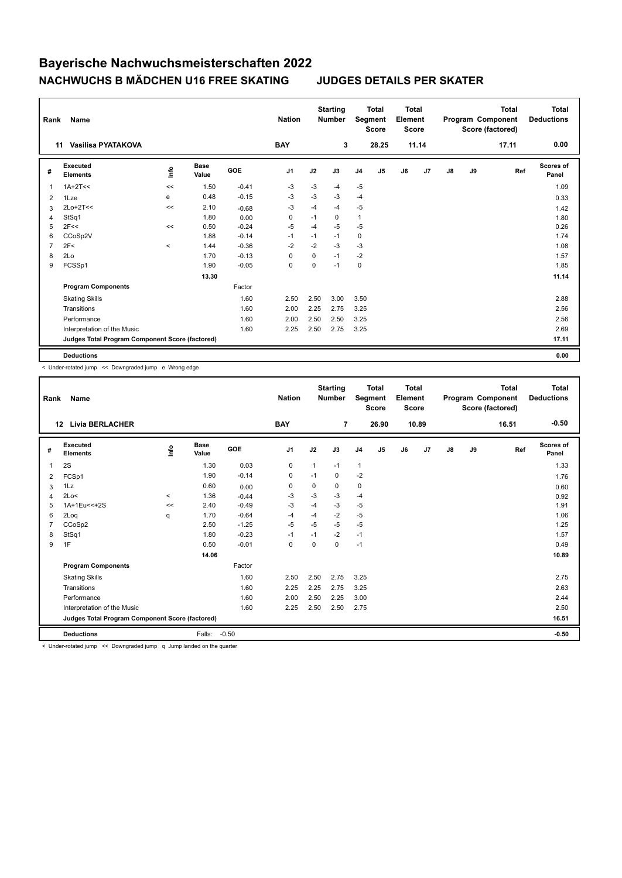| Rank           | Name                                            |                                  |                      |         | <b>Nation</b>  |             | <b>Starting</b><br><b>Number</b> |                | <b>Total</b><br>Segment<br><b>Score</b> | <b>Total</b><br>Element<br><b>Score</b> |                |    |    | <b>Total</b><br>Program Component<br>Score (factored) | <b>Total</b><br><b>Deductions</b> |
|----------------|-------------------------------------------------|----------------------------------|----------------------|---------|----------------|-------------|----------------------------------|----------------|-----------------------------------------|-----------------------------------------|----------------|----|----|-------------------------------------------------------|-----------------------------------|
|                | Vasilisa PYATAKOVA<br>11                        |                                  |                      |         | <b>BAY</b>     |             | 3                                |                | 28.25                                   |                                         | 11.14          |    |    | 17.11                                                 | 0.00                              |
| #              | Executed<br><b>Elements</b>                     | $\mathop{\mathsf{Int}}\nolimits$ | <b>Base</b><br>Value | GOE     | J <sub>1</sub> | J2          | J3                               | J <sub>4</sub> | J <sub>5</sub>                          | J6                                      | J <sub>7</sub> | J8 | J9 | Ref                                                   | Scores of<br>Panel                |
| 1              | $1A+2T<<$                                       | <<                               | 1.50                 | $-0.41$ | $-3$           | $-3$        | -4                               | $-5$           |                                         |                                         |                |    |    |                                                       | 1.09                              |
| 2              | 1Lze                                            | e                                | 0.48                 | $-0.15$ | $-3$           | $-3$        | $-3$                             | $-4$           |                                         |                                         |                |    |    |                                                       | 0.33                              |
| 3              | $2Lo+2T<<$                                      | <<                               | 2.10                 | $-0.68$ | -3             | $-4$        | $-4$                             | $-5$           |                                         |                                         |                |    |    |                                                       | 1.42                              |
| 4              | StSq1                                           |                                  | 1.80                 | 0.00    | 0              | $-1$        | 0                                | $\mathbf{1}$   |                                         |                                         |                |    |    |                                                       | 1.80                              |
| 5              | 2F<<                                            | <<                               | 0.50                 | $-0.24$ | $-5$           | $-4$        | $-5$                             | $-5$           |                                         |                                         |                |    |    |                                                       | 0.26                              |
| 6              | CCoSp2V                                         |                                  | 1.88                 | $-0.14$ | $-1$           | $-1$        | $-1$                             | 0              |                                         |                                         |                |    |    |                                                       | 1.74                              |
| $\overline{7}$ | 2F<                                             | $\,<$                            | 1.44                 | $-0.36$ | $-2$           | $-2$        | $-3$                             | $-3$           |                                         |                                         |                |    |    |                                                       | 1.08                              |
| 8              | 2Lo                                             |                                  | 1.70                 | $-0.13$ | 0              | $\mathbf 0$ | $-1$                             | $-2$           |                                         |                                         |                |    |    |                                                       | 1.57                              |
| 9              | FCSSp1                                          |                                  | 1.90                 | $-0.05$ | 0              | 0           | $-1$                             | $\mathbf 0$    |                                         |                                         |                |    |    |                                                       | 1.85                              |
|                |                                                 |                                  | 13.30                |         |                |             |                                  |                |                                         |                                         |                |    |    |                                                       | 11.14                             |
|                | <b>Program Components</b>                       |                                  |                      | Factor  |                |             |                                  |                |                                         |                                         |                |    |    |                                                       |                                   |
|                | <b>Skating Skills</b>                           |                                  |                      | 1.60    | 2.50           | 2.50        | 3.00                             | 3.50           |                                         |                                         |                |    |    |                                                       | 2.88                              |
|                | Transitions                                     |                                  |                      | 1.60    | 2.00           | 2.25        | 2.75                             | 3.25           |                                         |                                         |                |    |    |                                                       | 2.56                              |
|                | Performance                                     |                                  |                      | 1.60    | 2.00           | 2.50        | 2.50                             | 3.25           |                                         |                                         |                |    |    |                                                       | 2.56                              |
|                | Interpretation of the Music                     |                                  |                      | 1.60    | 2.25           | 2.50        | 2.75                             | 3.25           |                                         |                                         |                |    |    |                                                       | 2.69                              |
|                | Judges Total Program Component Score (factored) |                                  |                      |         |                |             |                                  |                |                                         |                                         |                |    |    |                                                       | 17.11                             |
|                | <b>Deductions</b>                               |                                  |                      |         |                |             |                                  |                |                                         |                                         |                |    |    |                                                       | 0.00                              |

< Under-rotated jump << Downgraded jump e Wrong edge

| Rank | Name                                            |         |                      |         | <b>Nation</b>  |          | <b>Starting</b><br><b>Number</b> | Segment        | <b>Total</b><br><b>Score</b> | <b>Total</b><br>Element<br><b>Score</b> |       |               |    | <b>Total</b><br>Program Component<br>Score (factored) | <b>Total</b><br><b>Deductions</b> |
|------|-------------------------------------------------|---------|----------------------|---------|----------------|----------|----------------------------------|----------------|------------------------------|-----------------------------------------|-------|---------------|----|-------------------------------------------------------|-----------------------------------|
|      | <b>Livia BERLACHER</b><br>12                    |         |                      |         | <b>BAY</b>     |          | 7                                |                | 26.90                        |                                         | 10.89 |               |    | 16.51                                                 | $-0.50$                           |
| #    | Executed<br><b>Elements</b>                     | lnfo    | <b>Base</b><br>Value | GOE     | J <sub>1</sub> | J2       | J3                               | J <sub>4</sub> | J5                           | J6                                      | J7    | $\mathsf{J}8$ | J9 | Ref                                                   | <b>Scores of</b><br>Panel         |
| 1    | 2S                                              |         | 1.30                 | 0.03    | $\mathbf 0$    | 1        | $-1$                             | $\mathbf{1}$   |                              |                                         |       |               |    |                                                       | 1.33                              |
| 2    | FCSp1                                           |         | 1.90                 | $-0.14$ | 0              | $-1$     | 0                                | $-2$           |                              |                                         |       |               |    |                                                       | 1.76                              |
| 3    | 1Lz                                             |         | 0.60                 | 0.00    | $\mathbf 0$    | 0        | 0                                | $\mathbf 0$    |                              |                                         |       |               |    |                                                       | 0.60                              |
| 4    | 2Lo<                                            | $\prec$ | 1.36                 | $-0.44$ | -3             | $-3$     | $-3$                             | $-4$           |                              |                                         |       |               |    |                                                       | 0.92                              |
| 5    | 1A+1Eu<<+2S                                     | <<      | 2.40                 | $-0.49$ | $-3$           | $-4$     | $-3$                             | $-5$           |                              |                                         |       |               |    |                                                       | 1.91                              |
| 6    | 2Log                                            | q       | 1.70                 | $-0.64$ | -4             | $-4$     | $-2$                             | -5             |                              |                                         |       |               |    |                                                       | 1.06                              |
| 7    | CCoSp2                                          |         | 2.50                 | $-1.25$ | $-5$           | $-5$     | $-5$                             | $-5$           |                              |                                         |       |               |    |                                                       | 1.25                              |
| 8    | StSq1                                           |         | 1.80                 | $-0.23$ | $-1$           | $-1$     | $-2$                             | $-1$           |                              |                                         |       |               |    |                                                       | 1.57                              |
| 9    | 1F                                              |         | 0.50                 | $-0.01$ | 0              | $\Omega$ | 0                                | $-1$           |                              |                                         |       |               |    |                                                       | 0.49                              |
|      |                                                 |         | 14.06                |         |                |          |                                  |                |                              |                                         |       |               |    |                                                       | 10.89                             |
|      | <b>Program Components</b>                       |         |                      | Factor  |                |          |                                  |                |                              |                                         |       |               |    |                                                       |                                   |
|      | <b>Skating Skills</b>                           |         |                      | 1.60    | 2.50           | 2.50     | 2.75                             | 3.25           |                              |                                         |       |               |    |                                                       | 2.75                              |
|      | Transitions                                     |         |                      | 1.60    | 2.25           | 2.25     | 2.75                             | 3.25           |                              |                                         |       |               |    |                                                       | 2.63                              |
|      | Performance                                     |         |                      | 1.60    | 2.00           | 2.50     | 2.25                             | 3.00           |                              |                                         |       |               |    |                                                       | 2.44                              |
|      | Interpretation of the Music                     |         |                      | 1.60    | 2.25           | 2.50     | 2.50                             | 2.75           |                              |                                         |       |               |    |                                                       | 2.50                              |
|      | Judges Total Program Component Score (factored) |         |                      |         |                |          |                                  |                |                              |                                         |       |               |    |                                                       | 16.51                             |
|      | <b>Deductions</b>                               |         | Falls:               | $-0.50$ |                |          |                                  |                |                              |                                         |       |               |    |                                                       | $-0.50$                           |

< Under-rotated jump << Downgraded jump q Jump landed on the quarter